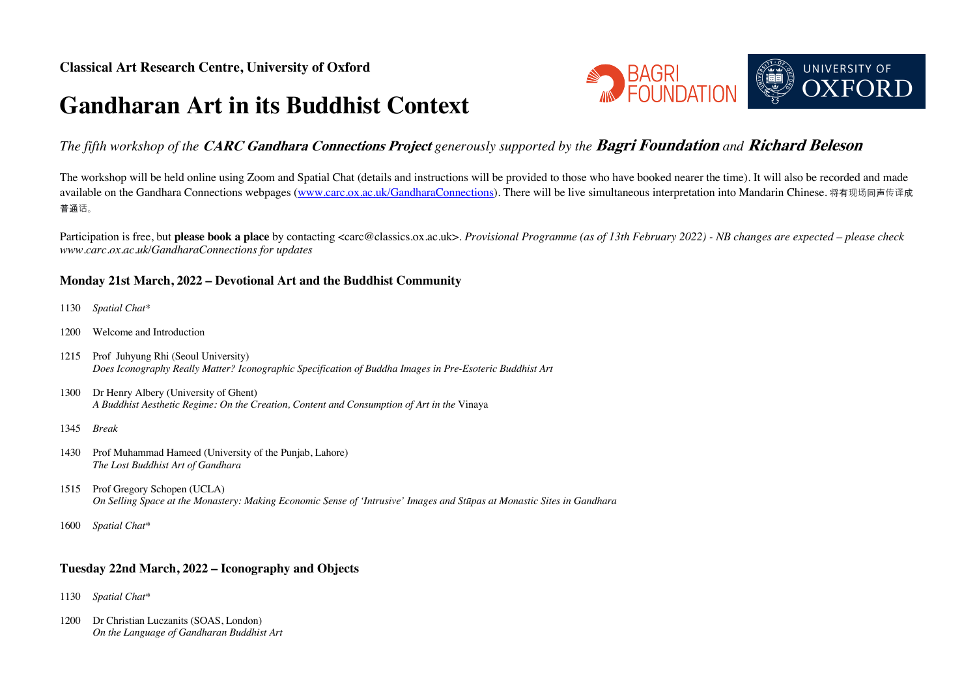# **Gandharan Art in its Buddhist Context**



## *The fifth workshop of the* **CARC Gandhara Connections Project** *generously supported by the* **Bagri Foundation** *and* **Richard Beleson**

The workshop will be held online using Zoom and Spatial Chat (details and instructions will be provided to those who have booked nearer the time). It will also be recorded and made available on the Gandhara Connections webpages (www.carc.ox.ac.uk/GandharaConnections). There will be live simultaneous interpretation into Mandarin Chinese. 将有现场同声传译成 普通话。

Participation is free, but please book a place by contacting <carc@classics.ox.ac.uk>. Provisional Programme (as of 13th February 2022) - NB changes are expected – please check *www.carc.ox.ac.uk/GandharaConnections for updates*

### **Monday 21st March, 2022 – Devotional Art and the Buddhist Community**

- 1130 *Spatial Chat\**
- 1200 Welcome and Introduction
- 1215 Prof Juhyung Rhi (Seoul University) *Does Iconography Really Matter? Iconographic Specification of Buddha Images in Pre-Esoteric Buddhist Art*
- 1300 Dr Henry Albery (University of Ghent) *A Buddhist Aesthetic Regime: On the Creation, Content and Consumption of Art in the* Vinaya
- 1345 *Break*
- 1430 Prof Muhammad Hameed (University of the Punjab, Lahore) *The Lost Buddhist Art of Gandhara*
- 1515 Prof Gregory Schopen (UCLA) *On Selling Space at the Monastery: Making Economic Sense of 'Intrusive' Images and Stūpas at Monastic Sites in Gandhara*
- 1600 *Spatial Chat\**

### **Tuesday 22nd March, 2022 – Iconography and Objects**

- 1130 *Spatial Chat\**
- 1200 Dr Christian Luczanits (SOAS, London) *On the Language of Gandharan Buddhist Art*